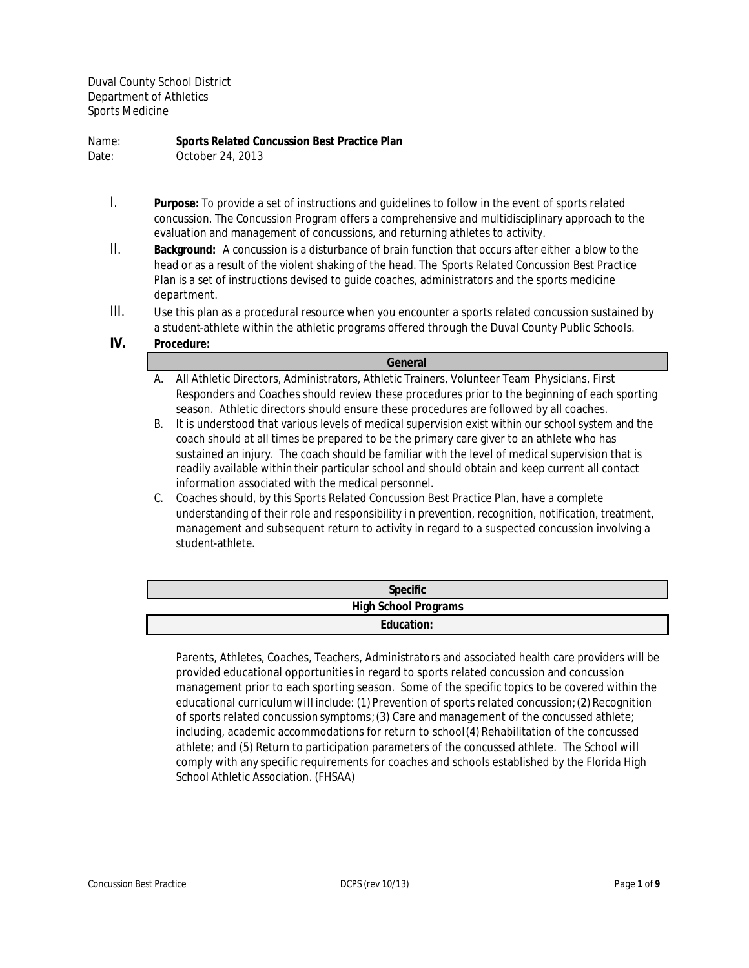Duval County School District Department of Athletics Sports Medicine

Name: **Sports Related Concussion Best Practice Plan**

Date: October 24, 2013

- I. **Purpose:** To provide a set of instructions and guidelines to follow in the event of sports related concussion. The Concussion Program offers a comprehensive and multidisciplinary approach to the evaluation and management of concussions, and returning athletes to activity.
- II. **Background:** A concussion is a disturbance of brain function that occurs after either a blow to the head or as a result of the violent shaking of the head. The *Sports Related Concussion Best Practice Plan* is a set of instructions devised to guide coaches, administrators and the sports medicine department.
- III. Use this plan as a procedural resource when you encounter a sports related concussion sustained by a student-athlete within the athletic programs offered through the Duval County Public Schools.
- **IV. Procedure:**

**General**

- A. All Athletic Directors, Administrators, Athletic Trainers, Volunteer Team Physicians, First Responders and Coaches should review these procedures prior to the beginning of each sporting season. Athletic directors should ensure these procedures are followed by all coaches.
- B. It is understood that various levels of medical supervision exist within our school system and the coach should at all times be prepared to be the primary care giver to an athlete who has sustained an injury. The coach should be familiar with the level of medical supervision that is readily available within their particular school and should obtain and keep current all contact information associated with the medical personnel.
- C. Coaches should, by this Sports Related Concussion Best Practice Plan, have a complete understanding of their role and responsibility in prevention, recognition, notification, treatment, management and subsequent return to activity in regard to a suspected concussion involving a student-athlete.

| <b>Specific</b>             |
|-----------------------------|
| <b>High School Programs</b> |
| <b>Education:</b>           |

Parents, Athletes, Coaches, Teachers, Administrators and associated health care providers will be provided educational opportunities in regard to sports related concussion and concussion management prior to each sporting season. Some of the specific topics to be covered within the educational curriculum will include: (1) Prevention of sports related concussion;(2) Recognition of sports related concussion symptoms;(3) Care and management of the concussed athlete; including, academic accommodations for return to school (4) Rehabilitation of the concussed athlete; and (5) Return to participation parameters of the concussed athlete. The School will comply with any specific requirements for coaches and schools established by the Florida High School Athletic Association. (FHSAA)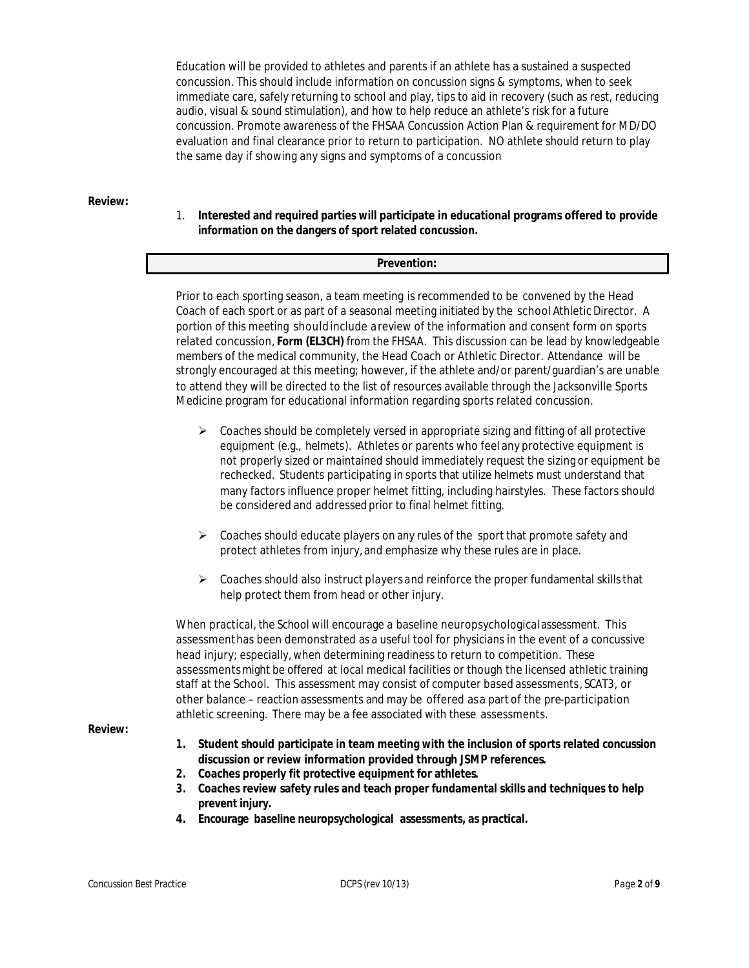Education will be provided to athletes and parents if an athlete has a sustained a suspected concussion. This should include information on concussion signs & symptoms, when to seek immediate care, safely returning to school and play, tips to aid in recovery (such as rest, reducing audio, visual & sound stimulation), and how to help reduce an athlete's risk for a future concussion. Promote awareness of the FHSAA Concussion Action Plan & requirement for MD/DO evaluation and final clearance prior to return to participation. NO athlete should return to play the same day if showing any signs and symptoms of a concussion

**Review:**

# 1. **Interested and required parties will participate in educational programs offered to provide information on the dangers of sport related concussion.**

### **Prevention:**

Prior to each sporting season, a team meeting is recommended to be convened by the Head Coach of each sport or as part of a seasonal meeting initiated by the school Athletic Director. A portion of this meeting shouldinclude a review of the information and consent form on sports related concussion, **Form (EL3CH)** from the FHSAA. This discussion can be lead by knowledgeable members of the medical community, the Head Coach or Athletic Director. Attendance will be strongly encouraged at this meeting; however, if the athlete and/or parent/guardian's are unable to attend they will be directed to the list of resources available through the Jacksonville Sports Medicine program for educational information regarding sports related concussion.

- $\triangleright$  Coaches should be completely versed in appropriate sizing and fitting of all protective equipment (e.g., helmets). Athletes or parents who feel any protective equipment is not properly sized or maintained should immediately request the sizing or equipment be rechecked. Students participating in sports that utilize helmets must understand that many factors influence proper helmet fitting, including hairstyles. These factors should be considered and addressed prior to final helmet fitting.
- $\triangleright$  Coaches should educate players on any rules of the sport that promote safety and protect athletes from injury, and emphasize why these rules are in place.
- $\triangleright$  Coaches should also instruct players and reinforce the proper fundamental skills that help protect them from head or other injury.

When practical, the School will encourage a baseline neuropsychological assessment. This assessmenthas been demonstrated as a useful tool for physicians in the event of a concussive head injury; especially, when determining readiness to return to competition. These assessments might be offered at local medical facilities or though the licensed athletic training staff at the School. This assessment may consist of computer based assessments, SCAT3, or other balance – reaction assessments and may be offered as a part of the pre-participation athletic screening. There may be a fee associated with these assessments.

**Review:** 

- **1. Student should participate in team meeting with the inclusion of sports related concussion discussion or review information provided through JSMP references.**
- **2. Coaches properly fit protective equipment for athletes.**
- **3. Coaches review safety rules and teach proper fundamental skills and techniques to help prevent injury.**
- **4. Encourage baseline neuropsychological assessments, as practical.**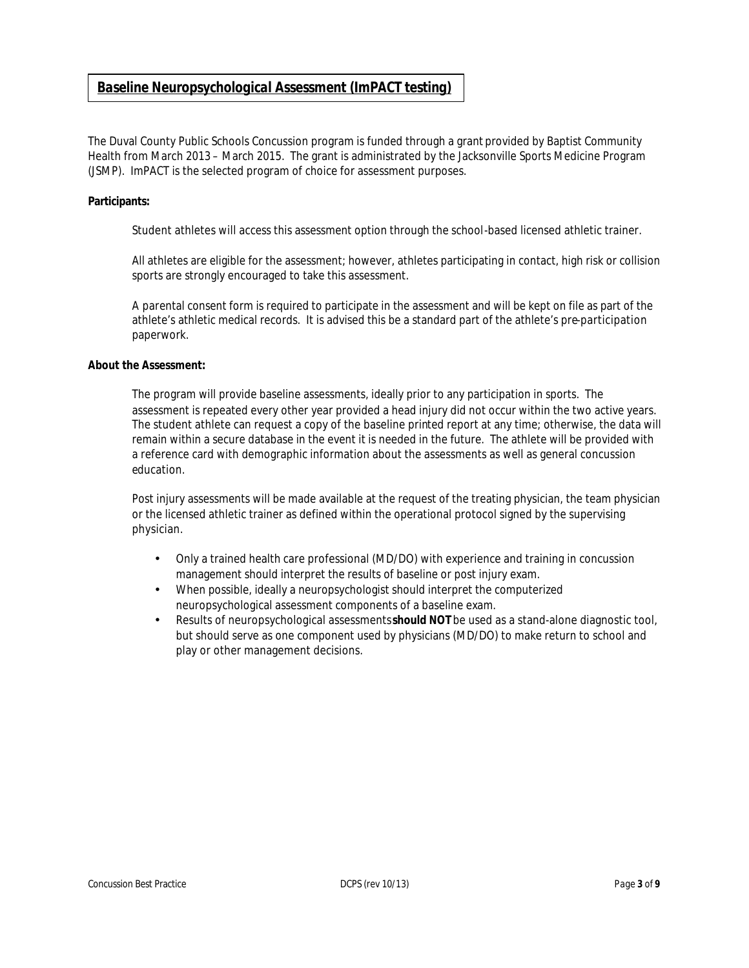# *Baseline Neuropsychological Assessment (ImPACT testing)*

The Duval County Public Schools Concussion program is funded through a grant provided by Baptist Community Health from March 2013 – March 2015. The grant is administrated by the Jacksonville Sports Medicine Program (JSMP). ImPACT is the selected program of choice for assessment purposes.

### **Participants:**

Student athletes will access this assessment option through the school-based licensed athletic trainer.

All athletes are eligible for the assessment; however, athletes participating in contact, high risk or collision sports are strongly encouraged to take this assessment.

A parental consent form is required to participate in the assessment and will be kept on file as part of the athlete's athletic medical records. It is advised this be a standard part of the athlete's pre-participation paperwork.

### **About the Assessment:**

The program will provide baseline assessments, ideally prior to any participation in sports. The assessment is repeated every other year provided a head injury did not occur within the two active years. The student athlete can request a copy of the baseline printed report at any time; otherwise, the data will remain within a secure database in the event it is needed in the future. The athlete will be provided with a reference card with demographic information about the assessments as well as general concussion education.

Post injury assessments will be made available at the request of the treating physician, the team physician or the licensed athletic trainer as defined within the operational protocol signed by the supervising physician.

- Only a trained health care professional (MD/DO) with experience and training in concussion management should interpret the results of baseline or post injury exam.
- When possible, ideally a neuropsychologist should interpret the computerized neuropsychological assessment components of a baseline exam.
- Results of neuropsychological assessments **should NOT** be used as a stand-alone diagnostic tool, but should serve as one component used by physicians (MD/DO) to make return to school and play or other management decisions.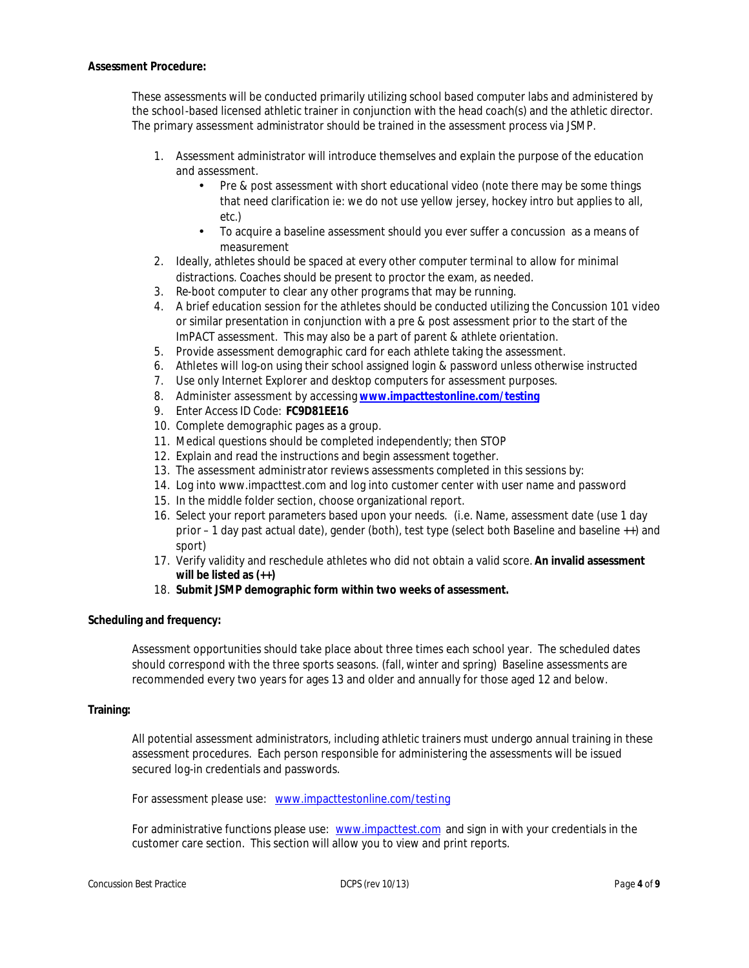### **Assessment Procedure:**

These assessments will be conducted primarily utilizing school based computer labs and administered by the school-based licensed athletic trainer in conjunction with the head coach(s) and the athletic director. The primary assessment administrator should be trained in the assessment process via JSMP.

- 1. Assessment administrator will introduce themselves and explain the purpose of the education and assessment.
	- Pre & post assessment with short educational video (note there may be some things that need clarification ie: we do not use yellow jersey, hockey intro but applies to all, etc.)
	- To acquire a baseline assessment should you ever suffer a concussion as a means of measurement
- 2. Ideally, athletes should be spaced at every other computer terminal to allow for minimal distractions. Coaches should be present to proctor the exam, as needed.
- 3. Re-boot computer to clear any other programs that may be running.
- 4. A brief education session for the athletes should be conducted utilizing the Concussion 101 video or similar presentation in conjunction with a pre & post assessment prior to the start of the ImPACT assessment. This may also be a part of parent & athlete orientation.
- 5. Provide assessment demographic card for each athlete taking the assessment.
- 6. Athletes will log-on using their school assigned login & password unless otherwise instructed
- 7. Use only Internet Explorer and desktop computers for assessment purposes.
- 8. Administer assessment by accessing **www.impacttestonline.com/testing**
- 9. Enter Access ID Code: **FC9D81EE16**
- 10. Complete demographic pages as a group.
- 11. Medical questions should be completed independently; then STOP
- 12. Explain and read the instructions and begin assessment together.
- 13. The assessment administrator reviews assessments completed in this sessions by:
- 14. Log into www.impacttest.com and log into customer center with user name and password
- 15. In the middle folder section, choose organizational report.
- 16. Select your report parameters based upon your needs. (i.e. Name, assessment date (use 1 day prior – 1 day past actual date), gender (both), test type (select both Baseline and baseline ++) and sport)
- 17. Verify validity and reschedule athletes who did not obtain a valid score. **An invalid assessment will be listed as (++)**
- 18. **Submit JSMP demographic form within two weeks of assessment.**

# **Scheduling and frequency:**

Assessment opportunities should take place about three times each school year. The scheduled dates should correspond with the three sports seasons. (fall, winter and spring) Baseline assessments are recommended every two years for ages 13 and older and annually for those aged 12 and below.

### **Training:**

All potential assessment administrators, including athletic trainers must undergo annual training in these assessment procedures. Each person responsible for administering the assessments will be issued secured log-in credentials and passwords.

For assessment please use: www.impacttestonline.com/testing

For administrative functions please use: www.impacttest.com and sign in with your credentials in the customer care section. This section will allow you to view and print reports.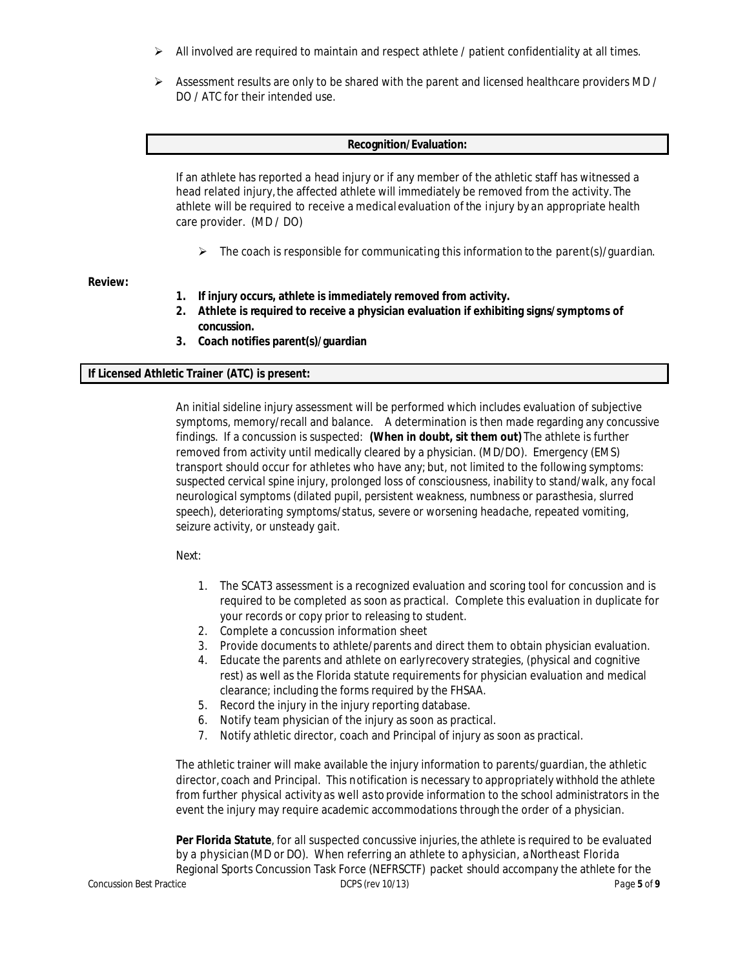- $\triangleright$  All involved are required to maintain and respect athlete / patient confidentiality at all times.
- $\triangleright$  Assessment results are only to be shared with the parent and licensed healthcare providers MD / DO / ATC for their intended use.

### **Recognition/Evaluation:**

If an athlete has reported a head injury or if any member of the athletic staff has witnessed a head related injury,the affected athlete will immediately be removed from the activity. The athlete will be required to receive a medical evaluation of the injury by an appropriate health care provider. (MD / DO)

 $\triangleright$  The coach is responsible for communicating this information to the parent(s)/guardian.

### **Review:**

- **1. If injury occurs, athlete is immediately removed from activity.**
- **2. Athlete is required to receive a physician evaluation if exhibiting signs/symptoms of concussion.**
- **3. Coach notifies parent(s)/guardian**

# **If Licensed Athletic Trainer (ATC) is present:**

An initial sideline injury assessment will be performed which includes evaluation of subjective symptoms, memory/recall and balance. A determination is then made regarding any concussive findings. If a concussion is suspected: **(When in doubt, sit them out)** The athlete is further removed from activity until medically cleared by a physician. (MD/DO). Emergency (EMS) transport should occur for athletes who have any; but, not limited to the following symptoms: *suspected cervical spine injury, prolonged loss of consciousness, inability to stand/walk, any focal neurological symptoms (dilated pupil, persistent weakness, numbness or parasthesia, slurred speech), deteriorating symptoms/status, severe or worsening headache, repeated vomiting, seizure activity, or unsteady gait.* 

# Next:

- 1. The SCAT3 assessment is a recognized evaluation and scoring tool for concussion and is required to be completed *as soon as practical*. Complete this evaluation in duplicate for your records or copy prior to releasing to student.
- 2. Complete a concussion information sheet
- 3. Provide documents to athlete/parents and direct them to obtain physician evaluation.
- 4. Educate the parents and athlete on earlyrecovery strategies, (physical and cognitive rest) as well as the Florida statute requirements for physician evaluation and medical clearance; including the forms required by the FHSAA.
- 5. Record the injury in the injury reporting database.
- 6. Notify team physician of the injury as soon as practical.
- 7. Notify athletic director, coach and Principal of injury as soon as practical.

The athletic trainer will make available the injury information to parents/guardian, the athletic director, coach and Principal. This notification is necessary to appropriately withhold the athlete from further physical activity as well as to provide information to the school administrators in the event the injury may require academic accommodations through the order of a physician.

Concussion Best Practice DCPS (rev 10/13) Page **5** of **9** Per Florida Statute, for all suspected concussive injuries, the athlete is required to be evaluated by a physician(MD or DO). When referring an athlete to a physician, a Northeast Florida Regional Sports Concussion Task Force (NEFRSCTF) packet should accompany the athlete for the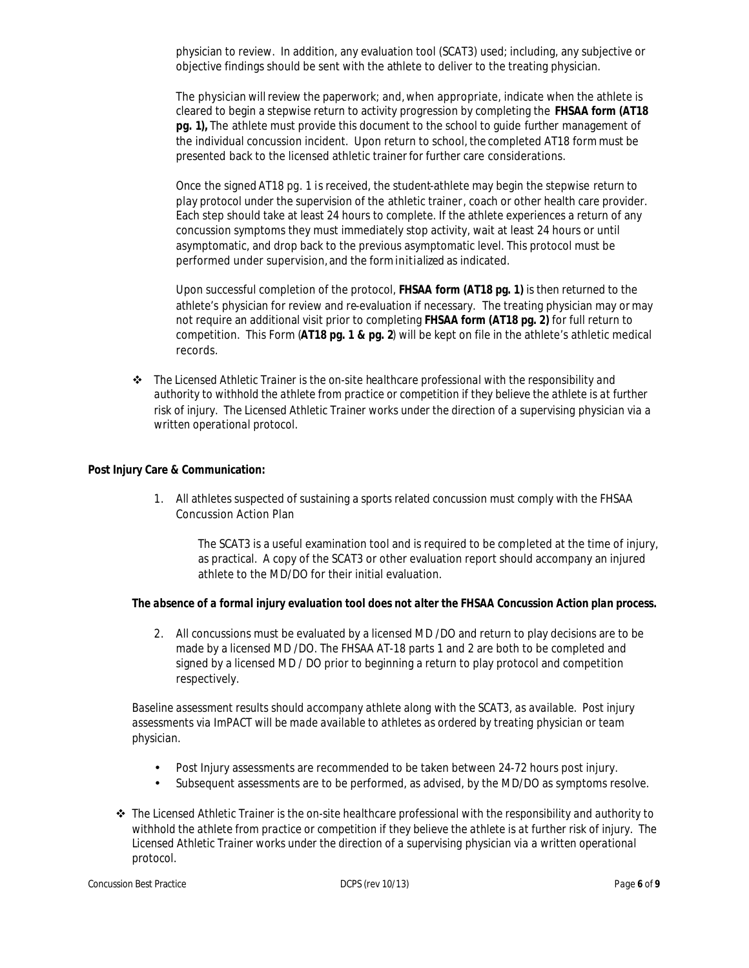physician to review. In addition, any evaluation tool (SCAT3) used; including, any subjective or objective findings should be sent with the athlete to deliver to the treating physician.

The physician willreview the paperwork; and,when appropriate, indicate when the athlete is cleared to begin a stepwise return to activity progression by completing the **FHSAA form (AT18 pg. 1),** The athlete must provide this document to the school to guide further management of the individual concussion incident. Upon return to school, the completed AT18 form must be presented back to the licensed athletic trainer for further care considerations.

Once the signed *AT18 pg. 1* is received, the student-athlete may begin the stepwise return to play protocol under the supervision of the athletic trainer, coach or other health care provider. Each step should take at least 24 hours to complete. If the athlete experiences a return of any concussion symptoms they must immediately stop activity, wait at least 24 hours or until asymptomatic, and drop back to the previous asymptomatic level. This protocol must be performed under supervision, and the forminitialized as indicated.

Upon successful completion of the protocol, **FHSAA form (AT18 pg. 1)** is then returned to the athlete's physician for review and re-evaluation if necessary. The treating physician may or may not require an additional visit prior to completing **FHSAA form (AT18 pg. 2)** for full return to competition. This Form (**AT18 pg. 1 & pg. 2**) will be kept on file in the athlete's athletic medical records.

v *The Licensed Athletic Trainer is the on-site healthcare professional with the responsibility and authority to withhold the athlete from practice or competition if they believe the athlete is at further risk of injury. The Licensed Athletic Trainer works under the direction of a supervising physician via a written operational protocol.* 

# **Post Injury Care & Communication:**

1. All athletes suspected of sustaining a sports related concussion must comply with the FHSAA Concussion Action Plan

The SCAT3 is a useful examination tool and is required to be completed at the time of injury, as practical. A copy of the SCAT3 or other evaluation report should accompany an injured athlete to the MD/DO for their initial evaluation.

# *The absence of a formal injury evaluation tool does not alter the FHSAA Concussion Action plan process.*

2. All concussions must be evaluated by a licensed MD /DO and return to play decisions are to be made by a licensed MD /DO. The FHSAA AT-18 parts 1 and 2 are both to be completed and signed by a licensed MD / DO prior to beginning a return to play protocol and competition respectively.

*Baseline assessment results should accompany athlete along with the SCAT3, as available. Post injury assessments via ImPACT will be made available to athletes as ordered by treating physician or team physician.* 

- Post Injury assessments are recommended to be taken between 24-72 hours post injury.
- Subsequent assessments are to be performed, as advised, by the MD/DO as symptoms resolve.
- v *The Licensed Athletic Trainer is the on-site healthcare professional with the responsibility and authority to withhold the athlete from practice or competition if they believe the athlete is at further risk of injury. The Licensed Athletic Trainer works under the direction of a supervising physician via a written operational protocol.*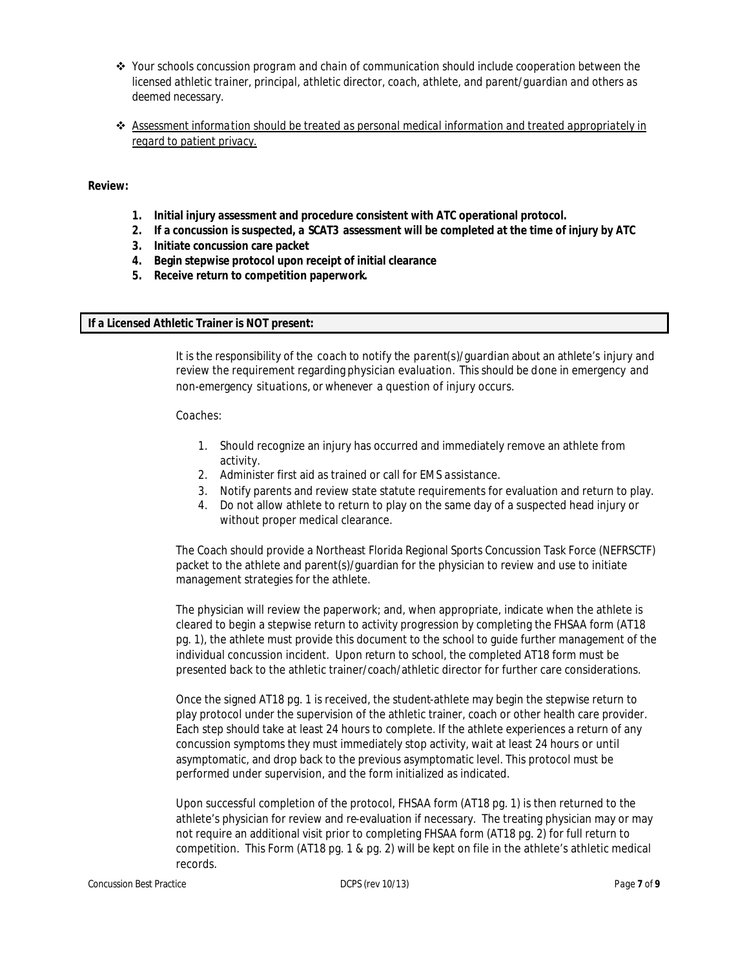- v *Your schools concussion program and chain of communication should include cooperation between the licensed athletic trainer, principal, athletic director, coach, athlete, and parent/guardian and others as deemed necessary.*
- v *Assessment information should be treated as personal medical information and treated appropriately in regard to patient privacy.*

### **Review:**

- **1. Initial injury assessment and procedure consistent with ATC operational protocol.**
- **2. If a concussion is suspected, a SCAT3 assessment will be completed at the time of injury by ATC**
- **3. Initiate concussion care packet**
- **4. Begin stepwise protocol upon receipt of initial clearance**
- **5. Receive return to competition paperwork.**

# **If a Licensed Athletic Trainer is NOT present:**

It is the responsibility of the coach to notify the parent(s)/guardian about an athlete's injury and review the requirement regarding physician evaluation. This should be done in emergency and non-emergency situations, or whenever a question of injury occurs.

Coaches:

- 1. Should recognize an injury has occurred and immediately remove an athlete from activity.
- 2. Administer first aid as trained or call for EMS assistance.
- 3. Notify parents and review state statute requirements for evaluation and return to play.
- 4. Do not allow athlete to return to play on the same day of a suspected head injury or without proper medical clearance.

The Coach should provide a Northeast Florida Regional Sports Concussion Task Force (NEFRSCTF) packet to the athlete and parent(s)/guardian for the physician to review and use to initiate management strategies for the athlete.

The physician will review the paperwork; and, when appropriate, indicate when the athlete is cleared to begin a stepwise return to activity progression by completing the FHSAA form (AT18 pg. 1), the athlete must provide this document to the school to guide further management of the individual concussion incident. Upon return to school, the completed AT18 form must be presented back to the athletic trainer/coach/athletic director for further care considerations.

Once the signed AT18 pg. 1 is received, the student-athlete may begin the stepwise return to play protocol under the supervision of the athletic trainer, coach or other health care provider. Each step should take at least 24 hours to complete. If the athlete experiences a return of any concussion symptoms they must immediately stop activity, wait at least 24 hours or until asymptomatic, and drop back to the previous asymptomatic level. This protocol must be performed under supervision, and the form initialized as indicated.

Upon successful completion of the protocol, FHSAA form (AT18 pg. 1) is then returned to the athlete's physician for review and re-evaluation if necessary. The treating physician may or may not require an additional visit prior to completing FHSAA form (AT18 pg. 2) for full return to competition. This Form (AT18 pg. 1 & pg. 2) will be kept on file in the athlete's athletic medical records.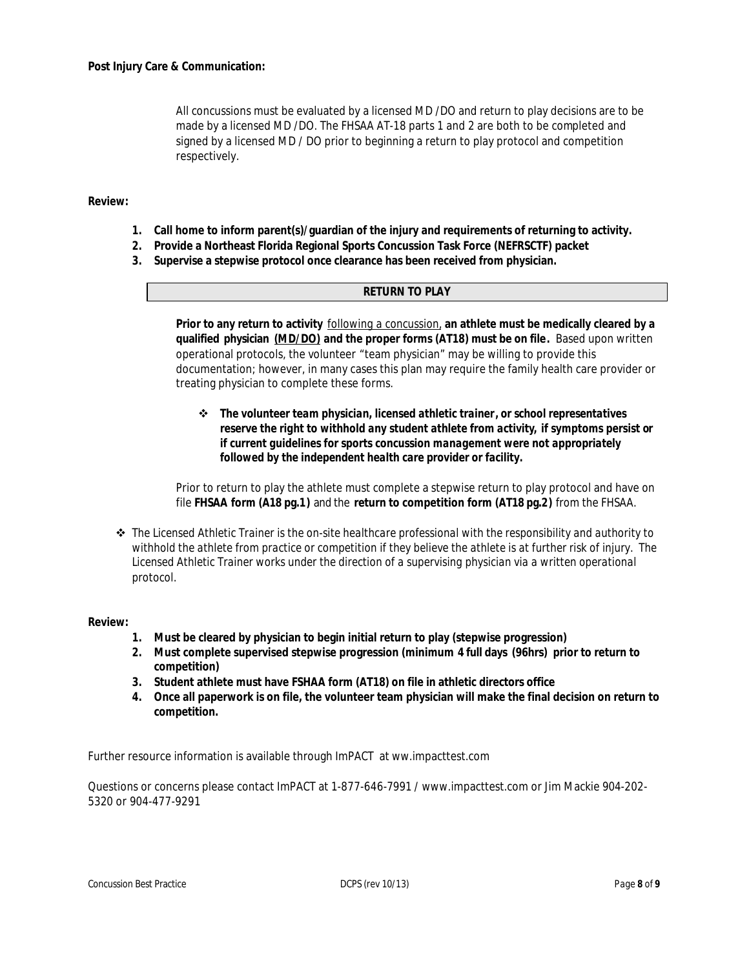All concussions must be evaluated by a licensed MD /DO and return to play decisions are to be made by a licensed MD /DO. The FHSAA AT-18 parts 1 and 2 are both to be completed and signed by a licensed MD / DO prior to beginning a return to play protocol and competition respectively.

**Review:**

- **1. Call home to inform parent(s)/guardian of the injury and requirements of returning to activity.**
- **2. Provide a Northeast Florida Regional Sports Concussion Task Force (NEFRSCTF) packet**
- **3. Supervise a stepwise protocol once clearance has been received from physician.**

### **RETURN TO PLAY**

**Prior to any return to activity** *following a concussion,* **an athlete must be medically cleared by a qualified physician** *(MD/DO)* **and the proper forms (AT18) must be on file.** Based upon written operational protocols, the volunteer "team physician" may be willing to provide this documentation; however, in many cases this plan may require the family health care provider or treating physician to complete these forms.

v *The volunteer team physician, licensed athletic trainer, or school representatives reserve the right to withhold any student athlete from activity, if symptoms persist or if current guidelines for sports concussion management were not appropriately followed by the independent health care provider or facility.*

Prior to return to play the athlete must complete a stepwise return to play protocol and have on file **FHSAA form (A18 pg.1)** and the **return to competition form (AT18 pg.2)** from the FHSAA.

v *The Licensed Athletic Trainer is the on-site healthcare professional with the responsibility and authority to withhold the athlete from practice or competition if they believe the athlete is at further risk of injury. The Licensed Athletic Trainer works under the direction of a supervising physician via a written operational protocol.* 

### **Review:**

- **1. Must be cleared by physician to begin initial return to play (stepwise progression)**
- **2. Must complete supervised stepwise progression (minimum 4 full days (96hrs) prior to return to competition)**
- **3. Student athlete must have FSHAA form (AT18) on file in athletic directors office**
- **4. Once all paperwork is on file, the volunteer team physician will make the final decision on return to competition.**

Further resource information is available through ImPACT at ww.impacttest.com

Questions or concerns please contact ImPACT at 1-877-646-7991 / www.impacttest.com or Jim Mackie 904-202- 5320 or 904-477-9291